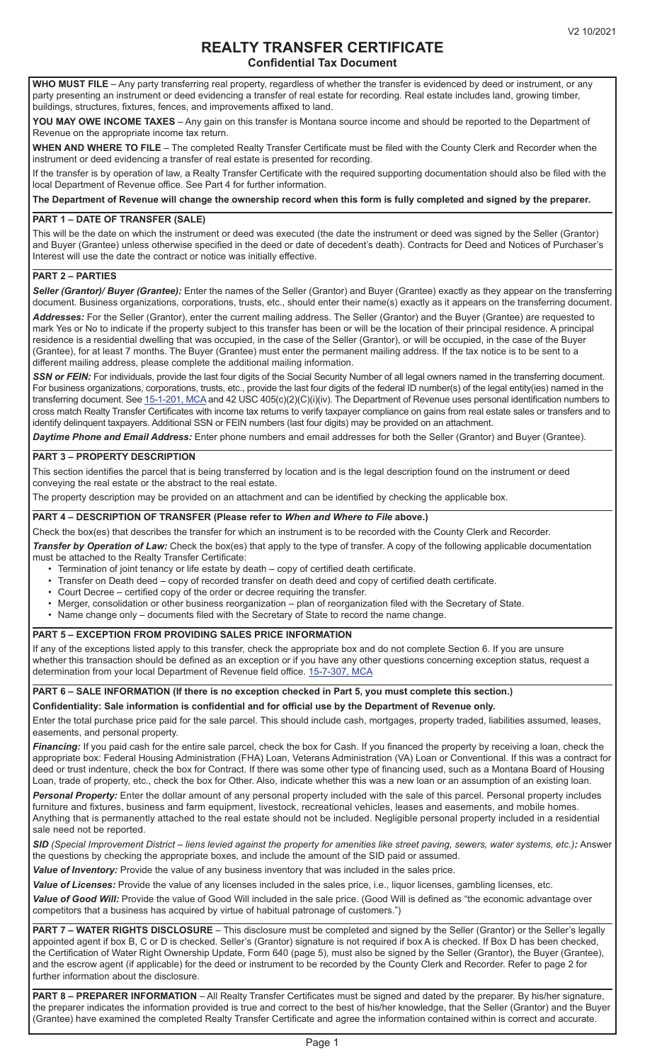# **REALTY TRANSFER CERTIFICATE Confidential Tax Document**

**WHO MUST FILE** – Any party transferring real property, regardless of whether the transfer is evidenced by deed or instrument, or any party presenting an instrument or deed evidencing a transfer of real estate for recording. Real estate includes land, growing timber, buildings, structures, fixtures, fences, and improvements affixed to land.

**YOU MAY OWE INCOME TAXES** – Any gain on this transfer is Montana source income and should be reported to the Department of Revenue on the appropriate income tax return.

**WHEN AND WHERE TO FILE** – The completed Realty Transfer Certificate must be filed with the County Clerk and Recorder when the instrument or deed evidencing a transfer of real estate is presented for recording.

If the transfer is by operation of law, a Realty Transfer Certificate with the required supporting documentation should also be filed with the local Department of Revenue office. See Part 4 for further information.

**The Department of Revenue will change the ownership record when this form is fully completed and signed by the preparer.**

### **PART 1 – DATE OF TRANSFER (SALE)**

This will be the date on which the instrument or deed was executed (the date the instrument or deed was signed by the Seller (Grantor) and Buyer (Grantee) unless otherwise specified in the deed or date of decedent's death). Contracts for Deed and Notices of Purchaser's Interest will use the date the contract or notice was initially effective.

## **PART 2 – PARTIES**

*Seller (Grantor)/ Buyer (Grantee):* Enter the names of the Seller (Grantor) and Buyer (Grantee) exactly as they appear on the transferring document. Business organizations, corporations, trusts, etc., should enter their name(s) exactly as it appears on the transferring document. *Addresses:* For the Seller (Grantor), enter the current mailing address. The Seller (Grantor) and the Buyer (Grantee) are requested to mark Yes or No to indicate if the property subject to this transfer has been or will be the location of their principal residence. A principal residence is a residential dwelling that was occupied, in the case of the Seller (Grantor), or will be occupied, in the case of the Buyer (Grantee), for at least 7 months. The Buyer (Grantee) must enter the permanent mailing address. If the tax notice is to be sent to a different mailing address, please complete the additional mailing information.

**SSN or FEIN:** For individuals, provide the last four digits of the Social Security Number of all legal owners named in the transferring document. For business organizations, corporations, trusts, etc., provide the last four digits of the federal ID number(s) of the legal entity(ies) named in the transferring document. See [15-1-201, MCA](https://leg.mt.gov/bills/mca/title_0150/chapter_0010/part_0020/section_0010/0150-0010-0020-0010.html) and 42 USC 405(c)(2)(C)(i)(iv). The Department of Revenue uses personal identification numbers to cross match Realty Transfer Certificates with income tax returns to verify taxpayer compliance on gains from real estate sales or transfers and to identify delinquent taxpayers. Additional SSN or FEIN numbers (last four digits) may be provided on an attachment.

*Daytime Phone and Email Address:* Enter phone numbers and email addresses for both the Seller (Grantor) and Buyer (Grantee).

### **PART 3 – PROPERTY DESCRIPTION**

This section identifies the parcel that is being transferred by location and is the legal description found on the instrument or deed conveying the real estate or the abstract to the real estate.

The property description may be provided on an attachment and can be identified by checking the applicable box.

#### **PART 4 – DESCRIPTION OF TRANSFER (Please refer to** *When and Where to File* **above.)**

Check the box(es) that describes the transfer for which an instrument is to be recorded with the County Clerk and Recorder. *Transfer by Operation of Law:* Check the box(es) that apply to the type of transfer. A copy of the following applicable documentation

must be attached to the Realty Transfer Certificate:

- Termination of joint tenancy or life estate by death copy of certified death certificate.
- Transfer on Death deed copy of recorded transfer on death deed and copy of certified death certificate.
- Court Decree certified copy of the order or decree requiring the transfer.
- Merger, consolidation or other business reorganization plan of reorganization filed with the Secretary of State.
- Name change only documents filed with the Secretary of State to record the name change.

#### **PART 5 – EXCEPTION FROM PROVIDING SALES PRICE INFORMATION**

If any of the exceptions listed apply to this transfer, check the appropriate box and do not complete Section 6. If you are unsure whether this transaction should be defined as an exception or if you have any other questions concerning exception status, request a determination from your local Department of Revenue field office. [15-7-307, MCA](https://leg.mt.gov/bills/mca/title_0150/chapter_0070/part_0030/section_0070/0150-0070-0030-0070.html)

# **PART 6 – SALE INFORMATION (If there is no exception checked in Part 5, you must complete this section.)**

**Confidentiality: Sale information is confidential and for official use by the Department of Revenue only.**

Enter the total purchase price paid for the sale parcel. This should include cash, mortgages, property traded, liabilities assumed, leases, easements, and personal property.

**Financing:** If you paid cash for the entire sale parcel, check the box for Cash. If you financed the property by receiving a loan, check the appropriate box: Federal Housing Administration (FHA) Loan, Veterans Administration (VA) Loan or Conventional. If this was a contract for deed or trust indenture, check the box for Contract. If there was some other type of financing used, such as a Montana Board of Housing Loan, trade of property, etc., check the box for Other. Also, indicate whether this was a new loan or an assumption of an existing loan.

*Personal Property:* Enter the dollar amount of any personal property included with the sale of this parcel. Personal property includes furniture and fixtures, business and farm equipment, livestock, recreational vehicles, leases and easements, and mobile homes. Anything that is permanently attached to the real estate should not be included. Negligible personal property included in a residential sale need not be reported.

*SID (Special Improvement District – liens levied against the property for amenities like street paving, sewers, water systems, etc.):* Answer the questions by checking the appropriate boxes, and include the amount of the SID paid or assumed.

*Value of Inventory:* Provide the value of any business inventory that was included in the sales price.

*Value of Licenses:* Provide the value of any licenses included in the sales price, i.e., liquor licenses, gambling licenses, etc.

*Value of Good Will:* Provide the value of Good Will included in the sale price. (Good Will is defined as "the economic advantage over competitors that a business has acquired by virtue of habitual patronage of customers.")

**PART 7 – WATER RIGHTS DISCLOSURE** – This disclosure must be completed and signed by the Seller (Grantor) or the Seller's legally appointed agent if box B, C or D is checked. Seller's (Grantor) signature is not required if box A is checked. If Box D has been checked, the Certification of Water Right Ownership Update, Form 640 (page 5), must also be signed by the Seller (Grantor), the Buyer (Grantee), and the escrow agent (if applicable) for the deed or instrument to be recorded by the County Clerk and Recorder. Refer to page 2 for further information about the disclosure.

**PART 8 – PREPARER INFORMATION** – All Realty Transfer Certificates must be signed and dated by the preparer. By his/her signature, the preparer indicates the information provided is true and correct to the best of his/her knowledge, that the Seller (Grantor) and the Buyer (Grantee) have examined the completed Realty Transfer Certificate and agree the information contained within is correct and accurate.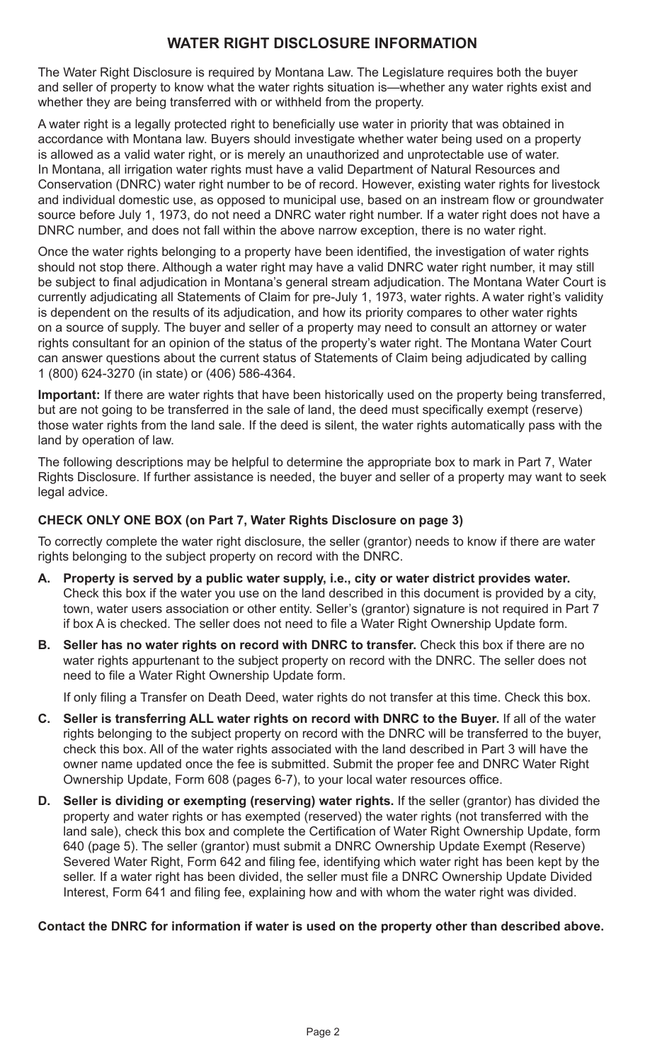# **WATER RIGHT DISCLOSURE INFORMATION**

The Water Right Disclosure is required by Montana Law. The Legislature requires both the buyer and seller of property to know what the water rights situation is—whether any water rights exist and whether they are being transferred with or withheld from the property.

A water right is a legally protected right to beneficially use water in priority that was obtained in accordance with Montana law. Buyers should investigate whether water being used on a property is allowed as a valid water right, or is merely an unauthorized and unprotectable use of water. In Montana, all irrigation water rights must have a valid Department of Natural Resources and Conservation (DNRC) water right number to be of record. However, existing water rights for livestock and individual domestic use, as opposed to municipal use, based on an instream flow or groundwater source before July 1, 1973, do not need a DNRC water right number. If a water right does not have a DNRC number, and does not fall within the above narrow exception, there is no water right.

Once the water rights belonging to a property have been identified, the investigation of water rights should not stop there. Although a water right may have a valid DNRC water right number, it may still be subject to final adjudication in Montana's general stream adjudication. The Montana Water Court is currently adjudicating all Statements of Claim for pre-July 1, 1973, water rights. A water right's validity is dependent on the results of its adjudication, and how its priority compares to other water rights on a source of supply. The buyer and seller of a property may need to consult an attorney or water rights consultant for an opinion of the status of the property's water right. The Montana Water Court can answer questions about the current status of Statements of Claim being adjudicated by calling 1 (800) 624-3270 (in state) or (406) 586-4364.

**Important:** If there are water rights that have been historically used on the property being transferred, but are not going to be transferred in the sale of land, the deed must specifically exempt (reserve) those water rights from the land sale. If the deed is silent, the water rights automatically pass with the land by operation of law.

The following descriptions may be helpful to determine the appropriate box to mark in Part 7, Water Rights Disclosure. If further assistance is needed, the buyer and seller of a property may want to seek legal advice.

# **CHECK ONLY ONE BOX (on Part 7, Water Rights Disclosure on page 3)**

To correctly complete the water right disclosure, the seller (grantor) needs to know if there are water rights belonging to the subject property on record with the DNRC.

- **A. Property is served by a public water supply, i.e., city or water district provides water.** Check this box if the water you use on the land described in this document is provided by a city, town, water users association or other entity. Seller's (grantor) signature is not required in Part 7 if box A is checked. The seller does not need to file a Water Right Ownership Update form.
- **B. Seller has no water rights on record with DNRC to transfer.** Check this box if there are no water rights appurtenant to the subject property on record with the DNRC. The seller does not need to file a Water Right Ownership Update form.

If only filing a Transfer on Death Deed, water rights do not transfer at this time. Check this box.

- **C. Seller is transferring ALL water rights on record with DNRC to the Buyer.** If all of the water rights belonging to the subject property on record with the DNRC will be transferred to the buyer, check this box. All of the water rights associated with the land described in Part 3 will have the owner name updated once the fee is submitted. Submit the proper fee and DNRC Water Right Ownership Update, Form 608 (pages 6-7), to your local water resources office.
- **D. Seller is dividing or exempting (reserving) water rights.** If the seller (grantor) has divided the property and water rights or has exempted (reserved) the water rights (not transferred with the land sale), check this box and complete the Certification of Water Right Ownership Update, form 640 (page 5). The seller (grantor) must submit a DNRC Ownership Update Exempt (Reserve) Severed Water Right, Form 642 and filing fee, identifying which water right has been kept by the seller. If a water right has been divided, the seller must file a DNRC Ownership Update Divided Interest, Form 641 and filing fee, explaining how and with whom the water right was divided.

# **Contact the DNRC for information if water is used on the property other than described above.**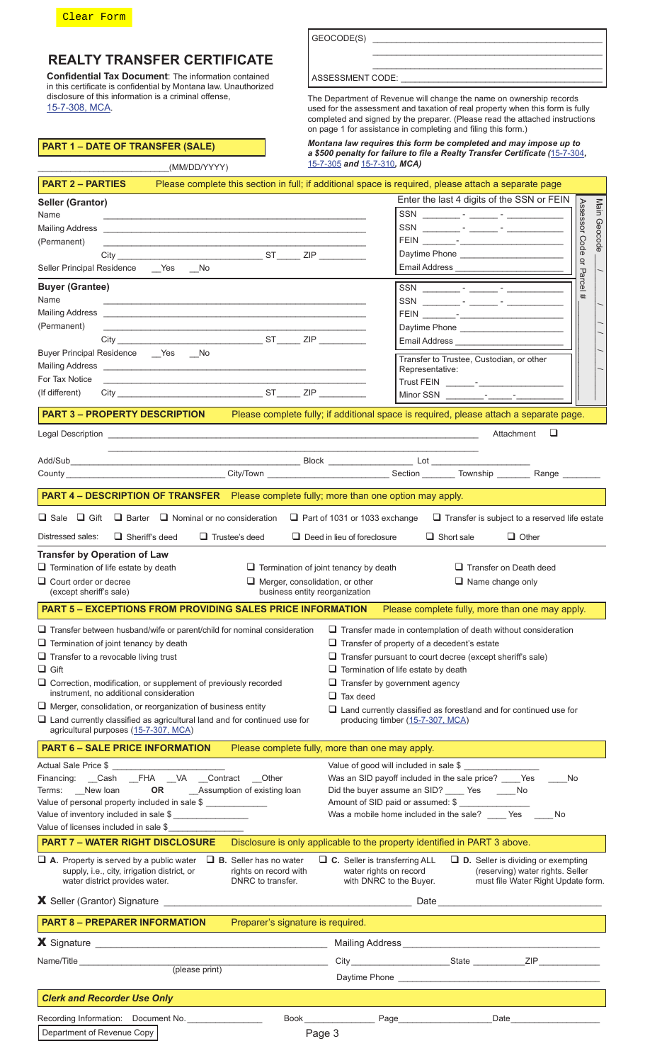

# **REALTY TRANSFER CERTIFICATE**

**Confidential Tax Document**: The information contained in this certificate is confidential by Montana law. Unauthorized disclosure of this information is a criminal offense, [15-7-308, MCA](https://leg.mt.gov/bills/mca/title_0150/chapter_0070/part_0030/section_0080/0150-0070-0030-0080.html).

\_\_\_\_\_\_\_\_\_\_\_\_\_\_\_\_\_\_\_\_\_\_\_\_\_\_\_\_(MM/DD/YYYY)

| GEOCODE(S) |  |
|------------|--|
|            |  |

ASSESSMENT CODE:

The Department of Revenue will change the name on ownership records used for the assessment and taxation of real property when this form is fully completed and signed by the preparer. (Please read the attached instructions on page 1 for assistance in completing and filing this form.)

\_\_\_\_\_\_\_\_\_\_\_\_\_\_\_\_\_\_\_\_\_\_\_\_\_\_\_\_\_\_\_\_\_\_\_\_\_\_\_\_\_\_\_\_\_\_\_\_\_ \_\_\_\_\_\_\_\_\_\_\_\_\_\_\_\_\_\_\_\_\_\_\_\_\_\_\_\_\_\_\_\_\_\_\_\_\_\_\_\_\_\_\_\_\_\_\_\_\_

|  |  |  |  | PART 1 – DATE OF TRANSFER (SALE) |  |
|--|--|--|--|----------------------------------|--|
|  |  |  |  |                                  |  |

*Montana law requires this form be completed and may impose up to a \$500 penalty for failure to file a Realty Transfer Certificate (*[15-7-304](https://leg.mt.gov/bills/mca/title_0150/chapter_0070/part_0030/section_0040/0150-0070-0030-0040.html)*,*  [15-7-305](https://leg.mt.gov/bills/mca/title_0150/chapter_0070/part_0030/section_0050/0150-0070-0030-0050.html) *and* [15-7-310](https://leg.mt.gov/bills/mca/title_0150/chapter_0070/part_0030/section_0100/0150-0070-0030-0100.html)*, MCA)*

| <b>PART 2 – PARTIES</b>                                                                                                                                                                                                              |                                                                                       | Please complete this section in full; if additional space is required, please attach a separate page                                                                                                                                                                                                                                                                                                                                                                            |              |
|--------------------------------------------------------------------------------------------------------------------------------------------------------------------------------------------------------------------------------------|---------------------------------------------------------------------------------------|---------------------------------------------------------------------------------------------------------------------------------------------------------------------------------------------------------------------------------------------------------------------------------------------------------------------------------------------------------------------------------------------------------------------------------------------------------------------------------|--------------|
| <b>Seller (Grantor)</b>                                                                                                                                                                                                              |                                                                                       | Enter the last 4 digits of the SSN or FEIN                                                                                                                                                                                                                                                                                                                                                                                                                                      |              |
| Name                                                                                                                                                                                                                                 | <u> 1989 - Johann Stoff, amerikansk politiker (d. 1989)</u>                           | Assessor Code                                                                                                                                                                                                                                                                                                                                                                                                                                                                   | Main Geocode |
| Mailing Address <b>Contract Contract Contract Contract Contract Contract Contract Contract Contract Contract Contract Contract Contract Contract Contract Contract Contract Contract Contract Contract Contract Contract Contrac</b> |                                                                                       |                                                                                                                                                                                                                                                                                                                                                                                                                                                                                 |              |
| (Permanent)                                                                                                                                                                                                                          |                                                                                       |                                                                                                                                                                                                                                                                                                                                                                                                                                                                                 |              |
|                                                                                                                                                                                                                                      |                                                                                       | $\breve{\mathsf{d}}$                                                                                                                                                                                                                                                                                                                                                                                                                                                            |              |
| Seller Principal Residence ___ Yes ___ No                                                                                                                                                                                            |                                                                                       | Email Address<br>Parcel                                                                                                                                                                                                                                                                                                                                                                                                                                                         |              |
| <b>Buyer (Grantee)</b>                                                                                                                                                                                                               |                                                                                       | $SSN \qquad \qquad \underline{\hspace{1cm}} \qquad \qquad \underline{\hspace{1cm}} \qquad \qquad \frac{1}{\sqrt{2\pi}} \qquad \qquad \frac{1}{\sqrt{2\pi}} \qquad \qquad \frac{1}{\sqrt{2\pi}} \qquad \qquad \frac{1}{\sqrt{2\pi}} \qquad \qquad \frac{1}{\sqrt{2\pi}} \qquad \qquad \frac{1}{\sqrt{2\pi}} \qquad \qquad \frac{1}{\sqrt{2\pi}} \qquad \qquad \frac{1}{\sqrt{2\pi}} \qquad \qquad \frac{1}{\sqrt{2\pi}} \qquad \qquad \frac{1}{\sqrt{2\pi}} \qquad \qquad \frac$ |              |
| Name                                                                                                                                                                                                                                 |                                                                                       |                                                                                                                                                                                                                                                                                                                                                                                                                                                                                 |              |
| (Permanent)                                                                                                                                                                                                                          |                                                                                       |                                                                                                                                                                                                                                                                                                                                                                                                                                                                                 |              |
|                                                                                                                                                                                                                                      |                                                                                       |                                                                                                                                                                                                                                                                                                                                                                                                                                                                                 |              |
| Buyer Principal Residence __ Yes __ No                                                                                                                                                                                               |                                                                                       | Email Address ______________                                                                                                                                                                                                                                                                                                                                                                                                                                                    |              |
| Mailing Address <b>contract and the contract of the contract of the contract of the contract of the contract of the contract of the contract of the contract of the contract of the contract of the contract of the contract of </b> |                                                                                       | Transfer to Trustee, Custodian, or other                                                                                                                                                                                                                                                                                                                                                                                                                                        |              |
| For Tax Notice                                                                                                                                                                                                                       | <u> 1989 - Johann Stein, Amerikaansk politiker († 1989)</u>                           | Representative:                                                                                                                                                                                                                                                                                                                                                                                                                                                                 |              |
| (If different)                                                                                                                                                                                                                       |                                                                                       |                                                                                                                                                                                                                                                                                                                                                                                                                                                                                 |              |
| <b>PART 3 - PROPERTY DESCRIPTION</b>                                                                                                                                                                                                 |                                                                                       | Please complete fully; if additional space is required, please attach a separate page.                                                                                                                                                                                                                                                                                                                                                                                          |              |
|                                                                                                                                                                                                                                      |                                                                                       | □<br>Attachment                                                                                                                                                                                                                                                                                                                                                                                                                                                                 |              |
|                                                                                                                                                                                                                                      |                                                                                       |                                                                                                                                                                                                                                                                                                                                                                                                                                                                                 |              |
|                                                                                                                                                                                                                                      |                                                                                       |                                                                                                                                                                                                                                                                                                                                                                                                                                                                                 |              |
|                                                                                                                                                                                                                                      |                                                                                       |                                                                                                                                                                                                                                                                                                                                                                                                                                                                                 |              |
| <b>PART 4 – DESCRIPTION OF TRANSFER</b> Please complete fully; more than one option may apply.                                                                                                                                       |                                                                                       |                                                                                                                                                                                                                                                                                                                                                                                                                                                                                 |              |
| $\Box$ Sale $\Box$ Gift                                                                                                                                                                                                              | $\Box$ Barter $\Box$ Nominal or no consideration $\Box$ Part of 1031 or 1033 exchange | $\Box$ Transfer is subject to a reserved life estate                                                                                                                                                                                                                                                                                                                                                                                                                            |              |
| Distressed sales:<br>$\Box$ Sheriff's deed                                                                                                                                                                                           | $\Box$ Trustee's deed                                                                 | $\Box$ Deed in lieu of foreclosure<br>$\Box$ Short sale<br>$\Box$ Other                                                                                                                                                                                                                                                                                                                                                                                                         |              |
| <b>Transfer by Operation of Law</b>                                                                                                                                                                                                  |                                                                                       |                                                                                                                                                                                                                                                                                                                                                                                                                                                                                 |              |
| $\Box$ Termination of life estate by death                                                                                                                                                                                           | $\Box$ Termination of joint tenancy by death                                          | $\Box$ Transfer on Death deed                                                                                                                                                                                                                                                                                                                                                                                                                                                   |              |
| $\Box$ Court order or decree                                                                                                                                                                                                         | $\Box$ Merger, consolidation, or other                                                | $\Box$ Name change only                                                                                                                                                                                                                                                                                                                                                                                                                                                         |              |
| (except sheriff's sale)                                                                                                                                                                                                              | business entity reorganization                                                        |                                                                                                                                                                                                                                                                                                                                                                                                                                                                                 |              |
| <b>PART 5 - EXCEPTIONS FROM PROVIDING SALES PRICE INFORMATION</b>                                                                                                                                                                    |                                                                                       | Please complete fully, more than one may apply.                                                                                                                                                                                                                                                                                                                                                                                                                                 |              |
| $\Box$ Transfer between husband/wife or parent/child for nominal consideration                                                                                                                                                       |                                                                                       | $\Box$ Transfer made in contemplation of death without consideration                                                                                                                                                                                                                                                                                                                                                                                                            |              |
| $\Box$ Termination of joint tenancy by death                                                                                                                                                                                         |                                                                                       | $\Box$ Transfer of property of a decedent's estate                                                                                                                                                                                                                                                                                                                                                                                                                              |              |
| $\Box$ Transfer to a revocable living trust                                                                                                                                                                                          |                                                                                       | $\Box$ Transfer pursuant to court decree (except sheriff's sale)                                                                                                                                                                                                                                                                                                                                                                                                                |              |
| $\Box$ Gift                                                                                                                                                                                                                          |                                                                                       | $\Box$ Termination of life estate by death                                                                                                                                                                                                                                                                                                                                                                                                                                      |              |
| $\Box$ Correction, modification, or supplement of previously recorded                                                                                                                                                                |                                                                                       | $\Box$ Transfer by government agency                                                                                                                                                                                                                                                                                                                                                                                                                                            |              |
| instrument, no additional consideration                                                                                                                                                                                              |                                                                                       | $\Box$ Tax deed                                                                                                                                                                                                                                                                                                                                                                                                                                                                 |              |
| $\Box$ Merger, consolidation, or reorganization of business entity<br>$\Box$ Land currently classified as agricultural land and for continued use for                                                                                |                                                                                       | $\Box$ Land currently classified as forestland and for continued use for                                                                                                                                                                                                                                                                                                                                                                                                        |              |
| agricultural purposes (15-7-307, MCA)                                                                                                                                                                                                |                                                                                       | producing timber (15-7-307, MCA)                                                                                                                                                                                                                                                                                                                                                                                                                                                |              |
| <b>PART 6 - SALE PRICE INFORMATION</b>                                                                                                                                                                                               | Please complete fully, more than one may apply.                                       |                                                                                                                                                                                                                                                                                                                                                                                                                                                                                 |              |
| Actual Sale Price \$                                                                                                                                                                                                                 |                                                                                       | Value of good will included in sale \$                                                                                                                                                                                                                                                                                                                                                                                                                                          |              |
| Financing: Cash _FHA _VA _Contract Other                                                                                                                                                                                             |                                                                                       | Was an SID payoff included in the sale price? Yes<br>No                                                                                                                                                                                                                                                                                                                                                                                                                         |              |
| Terms: New loan OR Assumption of existing loan                                                                                                                                                                                       |                                                                                       | Did the buyer assume an SID? _____ Yes ______ No                                                                                                                                                                                                                                                                                                                                                                                                                                |              |
| Value of personal property included in sale \$                                                                                                                                                                                       |                                                                                       | Amount of SID paid or assumed: \$ ________________                                                                                                                                                                                                                                                                                                                                                                                                                              |              |
| Value of inventory included in sale \$                                                                                                                                                                                               |                                                                                       | Was a mobile home included in the sale? ____ Yes ____<br>No                                                                                                                                                                                                                                                                                                                                                                                                                     |              |
| Value of licenses included in sale \$<br><b>PART 7 - WATER RIGHT DISCLOSURE</b>                                                                                                                                                      |                                                                                       | Disclosure is only applicable to the property identified in PART 3 above.                                                                                                                                                                                                                                                                                                                                                                                                       |              |
|                                                                                                                                                                                                                                      |                                                                                       |                                                                                                                                                                                                                                                                                                                                                                                                                                                                                 |              |
| $\Box$ A. Property is served by a public water<br>supply, i.e., city, irrigation district, or                                                                                                                                        | $\Box$ <b>B.</b> Seller has no water<br>rights on record with                         | $\Box$ C. Seller is transferring ALL<br>$\Box$ <b>D.</b> Seller is dividing or exempting<br>water rights on record<br>(reserving) water rights. Seller                                                                                                                                                                                                                                                                                                                          |              |
| water district provides water.                                                                                                                                                                                                       | DNRC to transfer.                                                                     | with DNRC to the Buyer.<br>must file Water Right Update form.                                                                                                                                                                                                                                                                                                                                                                                                                   |              |
|                                                                                                                                                                                                                                      |                                                                                       |                                                                                                                                                                                                                                                                                                                                                                                                                                                                                 |              |
| <b>PART 8 - PREPARER INFORMATION</b>                                                                                                                                                                                                 | Preparer's signature is required.                                                     |                                                                                                                                                                                                                                                                                                                                                                                                                                                                                 |              |
|                                                                                                                                                                                                                                      |                                                                                       |                                                                                                                                                                                                                                                                                                                                                                                                                                                                                 |              |
|                                                                                                                                                                                                                                      |                                                                                       |                                                                                                                                                                                                                                                                                                                                                                                                                                                                                 |              |
| Name/Title                                                                                                                                                                                                                           | (please print)                                                                        |                                                                                                                                                                                                                                                                                                                                                                                                                                                                                 |              |
|                                                                                                                                                                                                                                      |                                                                                       |                                                                                                                                                                                                                                                                                                                                                                                                                                                                                 |              |
| <b>Clerk and Recorder Use Only</b>                                                                                                                                                                                                   |                                                                                       |                                                                                                                                                                                                                                                                                                                                                                                                                                                                                 |              |
| Recording Information: Document No.                                                                                                                                                                                                  |                                                                                       | Book Page Page<br>Date __________________                                                                                                                                                                                                                                                                                                                                                                                                                                       |              |
| Department of Revenue Copy                                                                                                                                                                                                           | Page 3                                                                                |                                                                                                                                                                                                                                                                                                                                                                                                                                                                                 |              |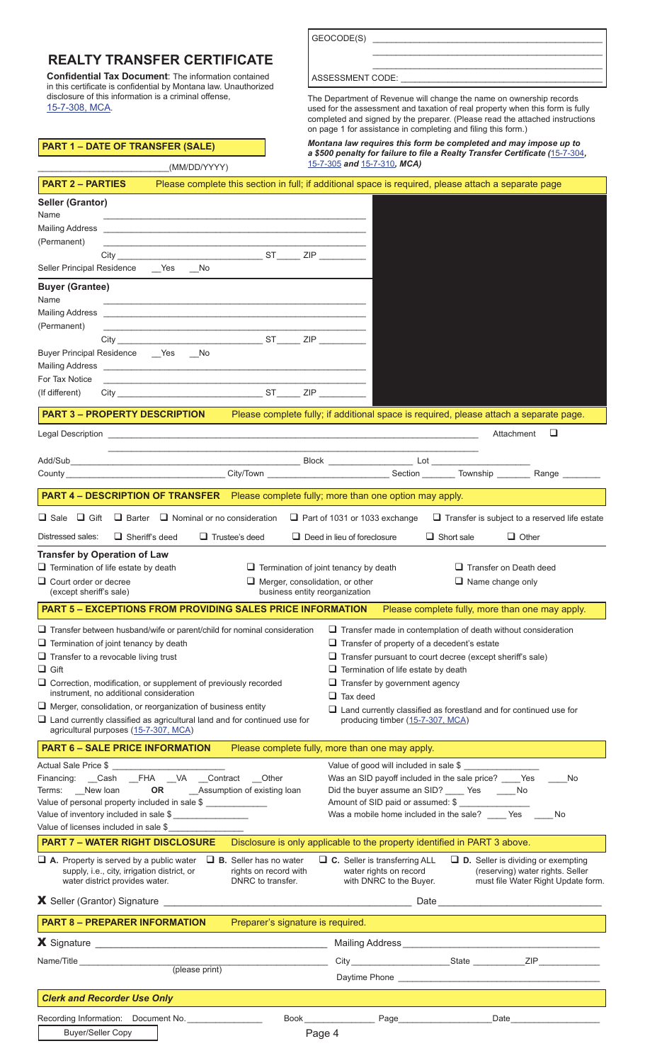GEOCODE(S)

# **REALTY TRANSFER CERTIFICATE**

**Confidential Tax Document**: The information contained in this certificate is confidential by Montana law. Unauthorized disclosure of this information is a criminal offense, [15-7-308, MCA](https://leg.mt.gov/bills/mca/title_0150/chapter_0070/part_0030/section_0080/0150-0070-0030-0080.html).

\_\_\_\_\_\_\_\_\_\_\_\_\_\_\_\_\_\_\_\_\_\_\_\_\_\_\_\_(MM/DD/YYYY)

|  |  | ASSESSMENT CODE: |  |  |
|--|--|------------------|--|--|
|  |  |                  |  |  |

The Department of Revenue will change the name on ownership records used for the assessment and taxation of real property when this form is fully completed and signed by the preparer. (Please read the attached instructions on page 1 for assistance in completing and filing this form.)

\_\_\_\_\_\_\_\_\_\_\_\_\_\_\_\_\_\_\_\_\_\_\_\_\_\_\_\_\_\_\_\_\_\_\_\_\_\_\_\_\_\_\_\_\_\_\_\_\_ \_\_\_\_\_\_\_\_\_\_\_\_\_\_\_\_\_\_\_\_\_\_\_\_\_\_\_\_\_\_\_\_\_\_\_\_\_\_\_\_\_\_\_\_\_\_\_\_\_

# **PART 1 – DATE OF TRANSFER (SALE)**

*Montana law requires this form be completed and may impose up to a \$500 penalty for failure to file a Realty Transfer Certificate (*[15-7-304](https://leg.mt.gov/bills/mca/title_0150/chapter_0070/part_0030/section_0040/0150-0070-0030-0040.html)*,*  [15-7-305](https://leg.mt.gov/bills/mca/title_0150/chapter_0070/part_0030/section_0050/0150-0070-0030-0050.html) *and* [15-7-310](https://leg.mt.gov/bills/mca/title_0150/chapter_0070/part_0030/section_0100/0150-0070-0030-0100.html)*, MCA)*

| <b>PART 2 – PARTIES</b>                                                                                                                                                                                                                                                                                                                                                                                                                                                                                            | Please complete this section in full; if additional space is required, please attach a separate page |                                                                                    |                                      |                                                                                                                        |                                                                                                                                                                                      |                                                                                                                                                                                                               |
|--------------------------------------------------------------------------------------------------------------------------------------------------------------------------------------------------------------------------------------------------------------------------------------------------------------------------------------------------------------------------------------------------------------------------------------------------------------------------------------------------------------------|------------------------------------------------------------------------------------------------------|------------------------------------------------------------------------------------|--------------------------------------|------------------------------------------------------------------------------------------------------------------------|--------------------------------------------------------------------------------------------------------------------------------------------------------------------------------------|---------------------------------------------------------------------------------------------------------------------------------------------------------------------------------------------------------------|
| Seller (Grantor)<br>Name                                                                                                                                                                                                                                                                                                                                                                                                                                                                                           |                                                                                                      |                                                                                    |                                      |                                                                                                                        |                                                                                                                                                                                      |                                                                                                                                                                                                               |
| (Permanent)                                                                                                                                                                                                                                                                                                                                                                                                                                                                                                        | <u> 1989 - Johann Stoff, amerikansk politiker (d. 1989)</u>                                          |                                                                                    |                                      |                                                                                                                        |                                                                                                                                                                                      |                                                                                                                                                                                                               |
| Seller Principal Residence ___ Yes No                                                                                                                                                                                                                                                                                                                                                                                                                                                                              |                                                                                                      |                                                                                    |                                      |                                                                                                                        |                                                                                                                                                                                      |                                                                                                                                                                                                               |
| <b>Buyer (Grantee)</b><br>Name                                                                                                                                                                                                                                                                                                                                                                                                                                                                                     |                                                                                                      |                                                                                    |                                      |                                                                                                                        |                                                                                                                                                                                      |                                                                                                                                                                                                               |
|                                                                                                                                                                                                                                                                                                                                                                                                                                                                                                                    |                                                                                                      |                                                                                    |                                      |                                                                                                                        |                                                                                                                                                                                      |                                                                                                                                                                                                               |
| (Permanent)                                                                                                                                                                                                                                                                                                                                                                                                                                                                                                        |                                                                                                      |                                                                                    |                                      |                                                                                                                        |                                                                                                                                                                                      |                                                                                                                                                                                                               |
| Buyer Principal Residence __ Yes __ No                                                                                                                                                                                                                                                                                                                                                                                                                                                                             |                                                                                                      |                                                                                    |                                      |                                                                                                                        |                                                                                                                                                                                      |                                                                                                                                                                                                               |
| Mailing Address <b>contained a manufacturer of the Contract of Address</b>                                                                                                                                                                                                                                                                                                                                                                                                                                         |                                                                                                      |                                                                                    |                                      |                                                                                                                        |                                                                                                                                                                                      |                                                                                                                                                                                                               |
| For Tax Notice<br>(If different)                                                                                                                                                                                                                                                                                                                                                                                                                                                                                   |                                                                                                      |                                                                                    |                                      |                                                                                                                        |                                                                                                                                                                                      |                                                                                                                                                                                                               |
| <b>PART 3 - PROPERTY DESCRIPTION</b>                                                                                                                                                                                                                                                                                                                                                                                                                                                                               |                                                                                                      |                                                                                    |                                      |                                                                                                                        |                                                                                                                                                                                      | Please complete fully; if additional space is required, please attach a separate page.                                                                                                                        |
|                                                                                                                                                                                                                                                                                                                                                                                                                                                                                                                    |                                                                                                      |                                                                                    |                                      |                                                                                                                        |                                                                                                                                                                                      | Attachment<br>⊔                                                                                                                                                                                               |
|                                                                                                                                                                                                                                                                                                                                                                                                                                                                                                                    |                                                                                                      |                                                                                    |                                      |                                                                                                                        |                                                                                                                                                                                      |                                                                                                                                                                                                               |
|                                                                                                                                                                                                                                                                                                                                                                                                                                                                                                                    |                                                                                                      |                                                                                    |                                      |                                                                                                                        |                                                                                                                                                                                      |                                                                                                                                                                                                               |
| <b>PART 4 - DESCRIPTION OF TRANSFER</b> Please complete fully; more than one option may apply.                                                                                                                                                                                                                                                                                                                                                                                                                     |                                                                                                      |                                                                                    |                                      |                                                                                                                        |                                                                                                                                                                                      |                                                                                                                                                                                                               |
| □ Sale □ Gift □ Barter □ Nominal or no consideration □ Part of 1031 or 1033 exchange                                                                                                                                                                                                                                                                                                                                                                                                                               |                                                                                                      |                                                                                    |                                      |                                                                                                                        |                                                                                                                                                                                      | $\Box$ Transfer is subject to a reserved life estate                                                                                                                                                          |
| Distressed sales:<br>$\Box$ Sheriff's deed                                                                                                                                                                                                                                                                                                                                                                                                                                                                         | $\Box$ Trustee's deed                                                                                |                                                                                    | $\Box$ Deed in lieu of foreclosure   |                                                                                                                        | $\Box$ Short sale                                                                                                                                                                    | $\Box$ Other                                                                                                                                                                                                  |
| <b>Transfer by Operation of Law</b>                                                                                                                                                                                                                                                                                                                                                                                                                                                                                |                                                                                                      |                                                                                    |                                      |                                                                                                                        |                                                                                                                                                                                      |                                                                                                                                                                                                               |
| $\Box$ Termination of life estate by death                                                                                                                                                                                                                                                                                                                                                                                                                                                                         |                                                                                                      | $\Box$ Termination of joint tenancy by death                                       |                                      |                                                                                                                        |                                                                                                                                                                                      | $\Box$ Transfer on Death deed                                                                                                                                                                                 |
| $\Box$ Court order or decree<br>(except sheriff's sale)                                                                                                                                                                                                                                                                                                                                                                                                                                                            |                                                                                                      | $\Box$ Merger, consolidation, or other                                             | business entity reorganization       |                                                                                                                        |                                                                                                                                                                                      | $\Box$ Name change only                                                                                                                                                                                       |
| <b>PART 5 - EXCEPTIONS FROM PROVIDING SALES PRICE INFORMATION</b>                                                                                                                                                                                                                                                                                                                                                                                                                                                  |                                                                                                      |                                                                                    |                                      |                                                                                                                        |                                                                                                                                                                                      | Please complete fully, more than one may apply.                                                                                                                                                               |
| $\Box$ Transfer between husband/wife or parent/child for nominal consideration<br>$\Box$ Termination of joint tenancy by death<br>$\Box$ Transfer to a revocable living trust<br>$\Box$ Gift<br>$\Box$ Correction, modification, or supplement of previously recorded<br>instrument. no additional consideration<br>$\Box$ Merger, consolidation, or reorganization of business entity<br>$\Box$ Land currently classified as agricultural land and for continued use for<br>agricultural purposes (15-7-307, MCA) |                                                                                                      |                                                                                    | $\Box$ Tax deed                      | $\Box$ Termination of life estate by death<br>$\Box$ Transfer by government agency<br>producing timber (15-7-307, MCA) | $\Box$ Transfer of property of a decedent's estate                                                                                                                                   | $\Box$ Transfer made in contemplation of death without consideration<br>Transfer pursuant to court decree (except sheriff's sale)<br>$\Box$ Land currently classified as forestland and for continued use for |
| <b>PART 6 - SALE PRICE INFORMATION</b>                                                                                                                                                                                                                                                                                                                                                                                                                                                                             |                                                                                                      | Please complete fully, more than one may apply.                                    |                                      |                                                                                                                        |                                                                                                                                                                                      |                                                                                                                                                                                                               |
| Actual Sale Price \$<br>Financing: Cash _FHA _VA _Contract Other<br>Terms: New loan OR Assumption of existing loan<br>Value of personal property included in sale \$<br>Value of inventory included in sale \$<br>Value of licenses included in sale \$                                                                                                                                                                                                                                                            |                                                                                                      |                                                                                    |                                      |                                                                                                                        | Value of good will included in sale \$<br>Was an SID payoff included in the sale price? Yes<br>Did the buyer assume an SID? _____ Yes ______ No<br>Amount of SID paid or assumed: \$ | No<br>Was a mobile home included in the sale? _____ Yes _____ No                                                                                                                                              |
| <b>PART 7 - WATER RIGHT DISCLOSURE</b>                                                                                                                                                                                                                                                                                                                                                                                                                                                                             |                                                                                                      | Disclosure is only applicable to the property identified in PART 3 above.          |                                      |                                                                                                                        |                                                                                                                                                                                      |                                                                                                                                                                                                               |
| $\Box$ A. Property is served by a public water<br>supply, i.e., city, irrigation district, or<br>water district provides water.                                                                                                                                                                                                                                                                                                                                                                                    |                                                                                                      | $\Box$ <b>B.</b> Seller has no water<br>rights on record with<br>DNRC to transfer. | $\Box$ C. Seller is transferring ALL | water rights on record<br>with DNRC to the Buyer.                                                                      |                                                                                                                                                                                      | $\Box$ <b>D.</b> Seller is dividing or exempting<br>(reserving) water rights. Seller<br>must file Water Right Update form.                                                                                    |
|                                                                                                                                                                                                                                                                                                                                                                                                                                                                                                                    |                                                                                                      |                                                                                    |                                      |                                                                                                                        |                                                                                                                                                                                      |                                                                                                                                                                                                               |
| <b>PART 8 - PREPARER INFORMATION</b>                                                                                                                                                                                                                                                                                                                                                                                                                                                                               |                                                                                                      | Preparer's signature is required.                                                  |                                      |                                                                                                                        |                                                                                                                                                                                      |                                                                                                                                                                                                               |
|                                                                                                                                                                                                                                                                                                                                                                                                                                                                                                                    |                                                                                                      |                                                                                    |                                      |                                                                                                                        |                                                                                                                                                                                      |                                                                                                                                                                                                               |
| Name/Title <b>Name</b>                                                                                                                                                                                                                                                                                                                                                                                                                                                                                             | (please print)                                                                                       |                                                                                    |                                      |                                                                                                                        |                                                                                                                                                                                      |                                                                                                                                                                                                               |
|                                                                                                                                                                                                                                                                                                                                                                                                                                                                                                                    |                                                                                                      |                                                                                    |                                      |                                                                                                                        |                                                                                                                                                                                      |                                                                                                                                                                                                               |
| <b>Clerk and Recorder Use Only</b>                                                                                                                                                                                                                                                                                                                                                                                                                                                                                 |                                                                                                      |                                                                                    |                                      |                                                                                                                        |                                                                                                                                                                                      |                                                                                                                                                                                                               |
| Recording Information: Document No.                                                                                                                                                                                                                                                                                                                                                                                                                                                                                |                                                                                                      |                                                                                    |                                      |                                                                                                                        | Book Page Page                                                                                                                                                                       |                                                                                                                                                                                                               |
| <b>Buyer/Seller Copy</b>                                                                                                                                                                                                                                                                                                                                                                                                                                                                                           |                                                                                                      |                                                                                    | Page 4                               |                                                                                                                        |                                                                                                                                                                                      |                                                                                                                                                                                                               |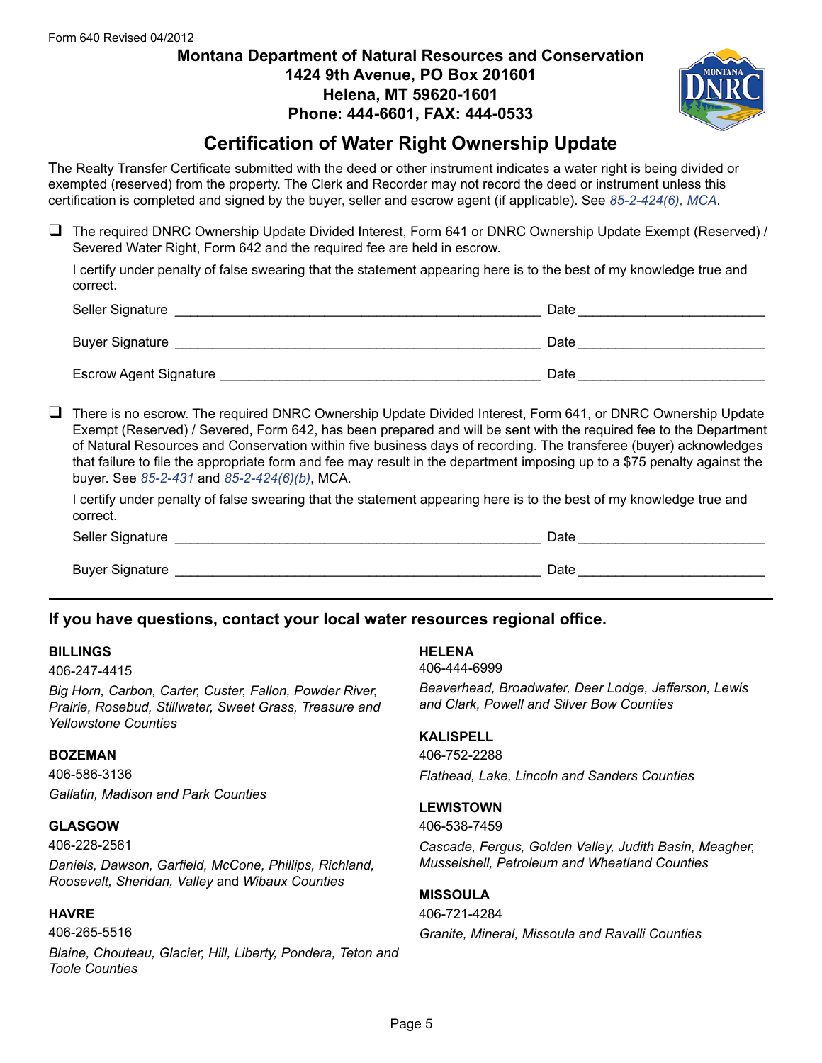# **Montana Department of Natural Resources and Conservation 1424 9th Avenue, PO Box 201601 Helena, MT 59620-1601 Phone: 444-6601, FAX: 444-0533**



# **Certification of Water Right Ownership Update**

The Realty Transfer Certificate submitted with the deed or other instrument indicates a water right is being divided or exempted (reserved) from the property. The Clerk and Recorder may not record the deed or instrument unless this certification is completed and signed by the buyer, seller and escrow agent (if applicable). See *[85-2-424\(6\), MCA](https://leg.mt.gov/bills/mca/title_0850/chapter_0020/part_0040/section_0240/0850-0020-0040-0240.html)*.

 $\Box$  The required DNRC Ownership Update Divided Interest, Form 641 or DNRC Ownership Update Exempt (Reserved) / Severed Water Right, Form 642 and the required fee are held in escrow.

I certify under penalty of false swearing that the statement appearing here is to the best of my knowledge true and correct.

| Seller Signature              | Date |
|-------------------------------|------|
| <b>Buyer Signature</b>        | Date |
| <b>Escrow Agent Signature</b> | Date |

 $\Box$  There is no escrow. The required DNRC Ownership Update Divided Interest, Form 641, or DNRC Ownership Update Exempt (Reserved) / Severed, Form 642, has been prepared and will be sent with the required fee to the Department of Natural Resources and Conservation within five business days of recording. The transferee (buyer) acknowledges that failure to file the appropriate form and fee may result in the department imposing up to a \$75 penalty against the buyer. See *[85-2-431](https://leg.mt.gov/bills/mca/title_0850/chapter_0020/part_0040/section_0310/0850-0020-0040-0310.html)* and *[85-2-424\(6\)\(b\)](https://leg.mt.gov/bills/mca/title_0850/chapter_0020/part_0040/section_0240/0850-0020-0040-0240.html)*, MCA.

I certify under penalty of false swearing that the statement appearing here is to the best of my knowledge true and correct.

Seller Signature **Example 20 and 20 and 20 and 20 and 20 and 20 and 20 and 20 and 20 and 20 and 20 and 20 and 20 and 20 and 20 and 20 and 20 and 20 and 20 and 20 and 20 and 20 and 20 and 20 and 20 and 20 and 20 and 20 and** Buyer Signature **Example 20** and the set of the set of the set of the set of the set of the set of the set of the set of the set of the set of the set of the set of the set of the set of the set of the set of the set of th

# **If you have questions, contact your local water resources regional office.**

### **BILLINGS**

406-247-4415

*Big Horn, Carbon, Carter, Custer, Fallon, Powder River, Prairie, Rosebud, Stillwater, Sweet Grass, Treasure and Yellowstone Counties*

#### **BOZEMAN**

406-586-3136 *Gallatin, Madison and Park Counties*

### **GLASGOW**

406-228-2561

*Daniels, Dawson, Garfield, McCone, Phillips, Richland, Roosevelt, Sheridan, Valley* and *Wibaux Counties*

#### **HAVRE**

406-265-5516

*Blaine, Chouteau, Glacier, Hill, Liberty, Pondera, Teton and Toole Counties*

#### **HELENA**

406-444-6999

*Beaverhead, Broadwater, Deer Lodge, Jefferson, Lewis and Clark, Powell and Silver Bow Counties*

### **KALISPELL**

406-752-2288 *Flathead, Lake, Lincoln and Sanders Counties*

### **LEWISTOWN**

406-538-7459

*Cascade, Fergus, Golden Valley, Judith Basin, Meagher, Musselshell, Petroleum and Wheatland Counties*

## **MISSOULA**

406-721-4284 *Granite, Mineral, Missoula and Ravalli Counties*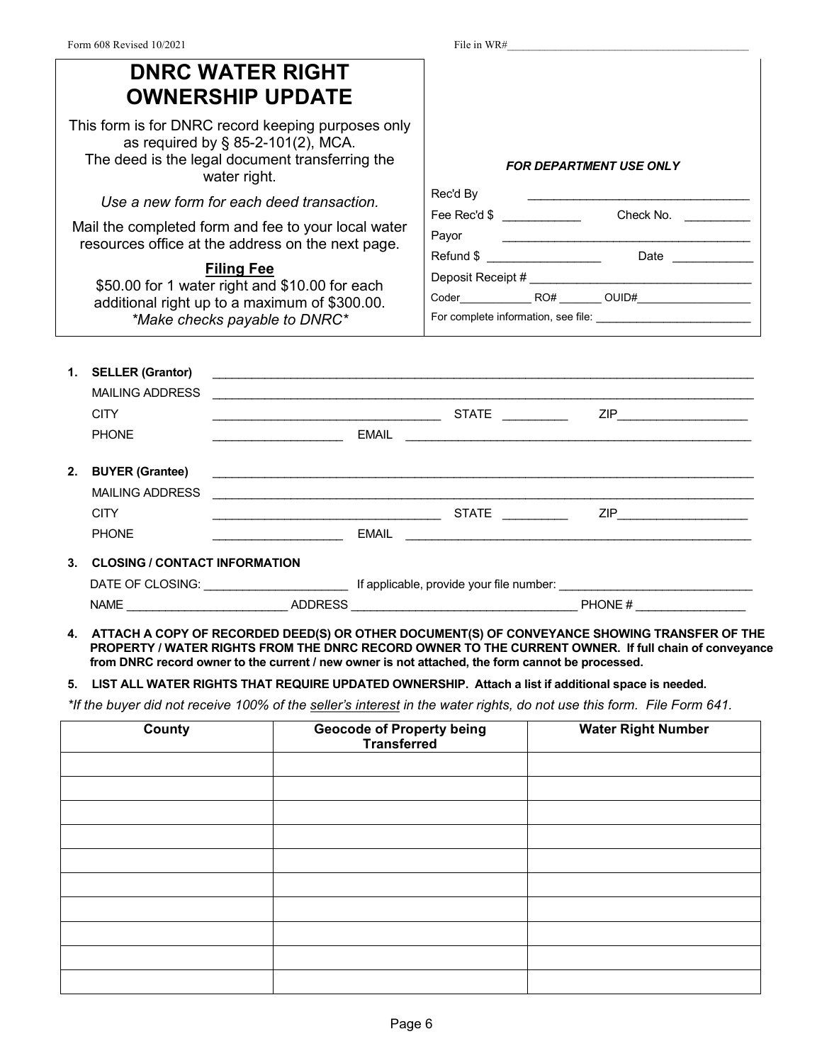| Form 608 Revised 10/2021                                                                                                                                                                                                                                                                                                                                                                                                                                                      | File in WR#                                                                                                           |
|-------------------------------------------------------------------------------------------------------------------------------------------------------------------------------------------------------------------------------------------------------------------------------------------------------------------------------------------------------------------------------------------------------------------------------------------------------------------------------|-----------------------------------------------------------------------------------------------------------------------|
| <b>DNRC WATER RIGHT</b><br><b>OWNERSHIP UPDATE</b>                                                                                                                                                                                                                                                                                                                                                                                                                            |                                                                                                                       |
| This form is for DNRC record keeping purposes only<br>as required by § 85-2-101(2), MCA.<br>The deed is the legal document transferring the<br>water right.<br>Use a new form for each deed transaction.<br>Mail the completed form and fee to your local water<br>resources office at the address on the next page.<br><b>Filing Fee</b><br>\$50.00 for 1 water right and \$10.00 for each<br>additional right up to a maximum of \$300.00.<br>*Make checks payable to DNRC* | <b>FOR DEPARTMENT USE ONLY</b><br>Rec'd By<br>Payor<br>Refund \$ _________________________  Date _____________        |
| <b>SELLER (Grantor)</b><br>1.<br><b>MAILING ADDRESS</b><br><u> 1989 - Johann Stoff, deutscher Stoff, der Stoff, der Stoff, der Stoff, der Stoff, der Stoff, der Stoff, der S</u>                                                                                                                                                                                                                                                                                              |                                                                                                                       |
| <b>CITY</b><br><b>PHONE</b>                                                                                                                                                                                                                                                                                                                                                                                                                                                   |                                                                                                                       |
| <b>BUYER (Grantee)</b><br>2.<br><b>MAILING ADDRESS</b><br><b>CITY</b>                                                                                                                                                                                                                                                                                                                                                                                                         | ZIP___________________________                                                                                        |
| <b>PHONE</b><br><b>EMAIL</b>                                                                                                                                                                                                                                                                                                                                                                                                                                                  | <u> 1989 - Johann Harry Harry Harry Harry Harry Harry Harry Harry Harry Harry Harry Harry Harry Harry Harry Harry</u> |
| 3. CLOSING / CONTACT INFORMATION                                                                                                                                                                                                                                                                                                                                                                                                                                              |                                                                                                                       |

| DATE OF CLOSING: |         | If applicable, provide your file number: |
|------------------|---------|------------------------------------------|
| NAME             | ADDRFSS | <b>PHONE#</b>                            |

**4. ATTACH A COPY OF RECORDED DEED(S) OR OTHER DOCUMENT(S) OF CONVEYANCE SHOWING TRANSFER OF THE PROPERTY / WATER RIGHTS FROM THE DNRC RECORD OWNER TO THE CURRENT OWNER. If full chain of conveyance from DNRC record owner to the current / new owner is not attached, the form cannot be processed.**

**5. LIST ALL WATER RIGHTS THAT REQUIRE UPDATED OWNERSHIP. Attach a list if additional space is needed.**

*\*If the buyer did not receive 100% of the seller's interest in the water rights, do not use this form. File Form 641.*

| <b>County</b> | Geocode of Property being<br>Transferred | <b>Water Right Number</b> |
|---------------|------------------------------------------|---------------------------|
|               |                                          |                           |
|               |                                          |                           |
|               |                                          |                           |
|               |                                          |                           |
|               |                                          |                           |
|               |                                          |                           |
|               |                                          |                           |
|               |                                          |                           |
|               |                                          |                           |
|               |                                          |                           |